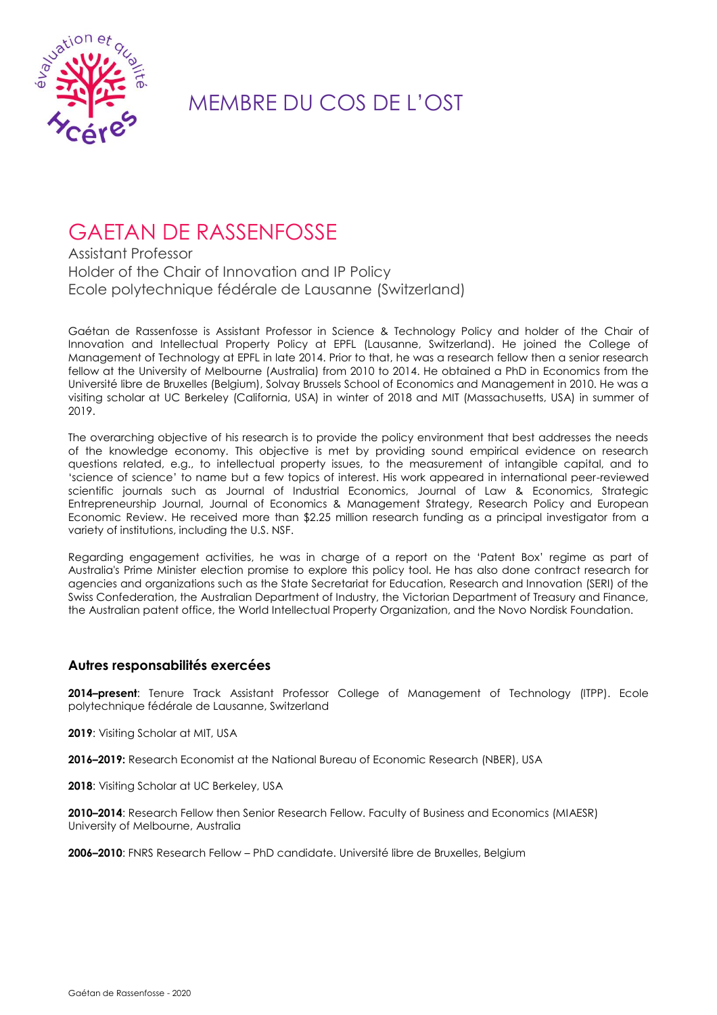

## MEMBRE DU COS DE L'OST

## GAETAN DE RASSENFOSSE

Assistant Professor Holder of the Chair of Innovation and IP Policy Ecole polytechnique fédérale de Lausanne (Switzerland)

Gaétan de Rassenfosse is Assistant Professor in Science & Technology Policy and holder of the Chair of Innovation and Intellectual Property Policy at EPFL (Lausanne, Switzerland). He joined the College of Management of Technology at EPFL in late 2014. Prior to that, he was a research fellow then a senior research fellow at the University of Melbourne (Australia) from 2010 to 2014. He obtained a PhD in Economics from the Université libre de Bruxelles (Belgium), Solvay Brussels School of Economics and Management in 2010. He was a visiting scholar at UC Berkeley (California, USA) in winter of 2018 and MIT (Massachusetts, USA) in summer of 2019.

The overarching objective of his research is to provide the policy environment that best addresses the needs of the knowledge economy. This objective is met by providing sound empirical evidence on research questions related, e.g., to intellectual property issues, to the measurement of intangible capital, and to 'science of science' to name but a few topics of interest. His work appeared in international peer-reviewed scientific journals such as Journal of Industrial Economics, Journal of Law & Economics, Strategic Entrepreneurship Journal, Journal of Economics & Management Strategy, Research Policy and European Economic Review. He received more than \$2.25 million research funding as a principal investigator from a variety of institutions, including the U.S. NSF.

Regarding engagement activities, he was in charge of a report on the 'Patent Box' regime as part of Australia's Prime Minister election promise to explore this policy tool. He has also done contract research for agencies and organizations such as the State Secretariat for Education, Research and Innovation (SERI) of the Swiss Confederation, the Australian Department of Industry, the Victorian Department of Treasury and Finance, the Australian patent office, the World Intellectual Property Organization, and the Novo Nordisk Foundation.

## **Autres responsabilités exercées**

**2014–present**: Tenure Track Assistant Professor College of Management of Technology (ITPP). Ecole polytechnique fédérale de Lausanne, Switzerland

**2019**: Visiting Scholar at MIT, USA

**2016–2019:** Research Economist at the National Bureau of Economic Research (NBER), USA

**2018**: Visiting Scholar at UC Berkeley, USA

**2010–2014**: Research Fellow then Senior Research Fellow. Faculty of Business and Economics (MIAESR) University of Melbourne, Australia

**2006–2010**: FNRS Research Fellow – PhD candidate. Université libre de Bruxelles, Belgium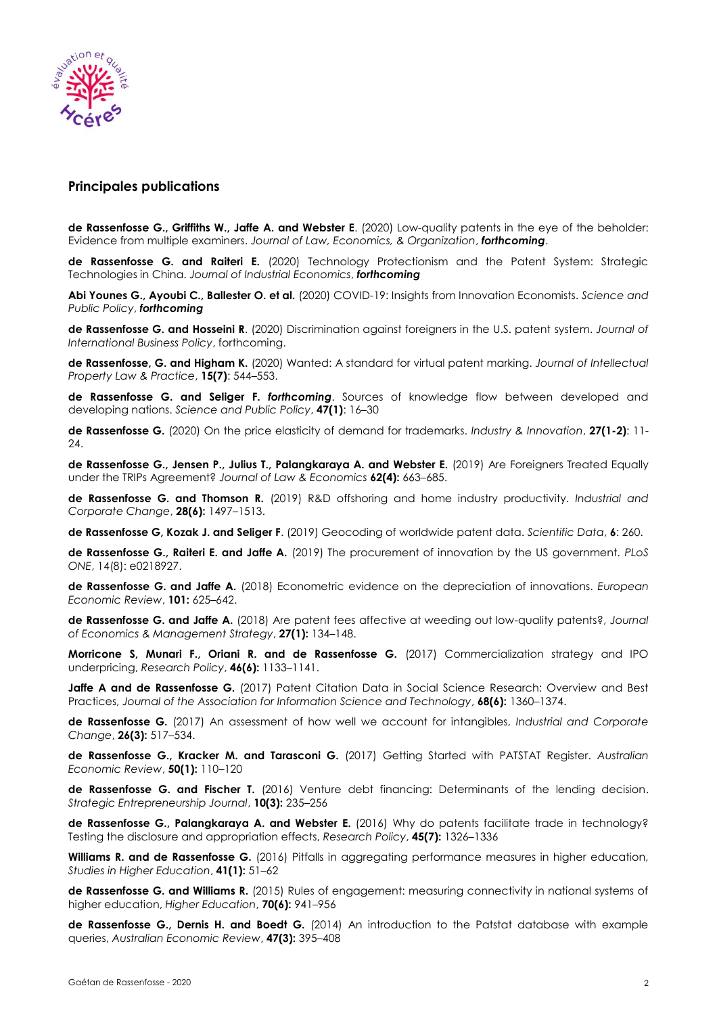

## **Principales publications**

**de Rassenfosse G., Griffiths W., Jaffe A. and Webster E**. (2020) Low-quality patents in the eye of the beholder: Evidence from multiple examiners. *Journal of Law, Economics, & Organization*, *forthcoming*.

**de Rassenfosse G. and Raiteri E.** (2020) Technology Protectionism and the Patent System: Strategic Technologies in China. *Journal of Industrial Economics*, *forthcoming*

**Abi Younes G., Ayoubi C., Ballester O. et al.** (2020) COVID-19: Insights from Innovation Economists. *Science and Public Policy*, *forthcoming*

**de Rassenfosse G. and Hosseini R**. (2020) Discrimination against foreigners in the U.S. patent system. *Journal of International Business Policy*, forthcoming.

**de Rassenfosse, G. and Higham K.** (2020) Wanted: A standard for virtual patent marking. *Journal of Intellectual Property Law & Practice*, **15(7)**: 544–553.

**de Rassenfosse G. and Seliger F.** *forthcoming*. Sources of knowledge flow between developed and developing nations. *Science and Public Policy*, **47(1)**: 16–30

**de Rassenfosse G.** (2020) On the price elasticity of demand for trademarks. *Industry & Innovation*, **27(1-2)**: 11- 24.

**de Rassenfosse G., Jensen P., Julius T., Palangkaraya A. and Webster E.** (2019) Are Foreigners Treated Equally under the TRIPs Agreement? *Journal of Law & Economics* **62(4):** 663–685.

**de Rassenfosse G. and Thomson R.** (2019) R&D offshoring and home industry productivity. *Industrial and Corporate Change*, **28(6):** 1497–1513.

**de Rassenfosse G, Kozak J. and Seliger F**. (2019) Geocoding of worldwide patent data. *Scientific Data*, **6**: 260.

**de Rassenfosse G., Raiteri E. and Jaffe A.** (2019) The procurement of innovation by the US government. *PLoS ONE*, 14(8): e0218927.

**de Rassenfosse G. and Jaffe A.** (2018) Econometric evidence on the depreciation of innovations. *European Economic Review*, **101:** 625–642.

**de Rassenfosse G. and Jaffe A.** (2018) Are patent fees affective at weeding out low-quality patents?, *Journal of Economics & Management Strategy*, **27(1):** 134–148.

**Morricone S, Munari F., Oriani R. and de Rassenfosse G.** (2017) Commercialization strategy and IPO underpricing, *Research Policy*, **46(6):** 1133–1141.

**Jaffe A and de Rassenfosse G.** (2017) Patent Citation Data in Social Science Research: Overview and Best Practices, *Journal of the Association for Information Science and Technology*, **68(6):** 1360–1374.

**de Rassenfosse G.** (2017) An assessment of how well we account for intangibles, *Industrial and Corporate Change*, **26(3):** 517–534.

**de Rassenfosse G., Kracker M. and Tarasconi G.** (2017) Getting Started with PATSTAT Register. *Australian Economic Review*, **50(1):** 110–120

**de Rassenfosse G. and Fischer T.** (2016) Venture debt financing: Determinants of the lending decision. *Strategic Entrepreneurship Journal*, **10(3):** 235–256

**de Rassenfosse G., Palangkaraya A. and Webster E.** (2016) Why do patents facilitate trade in technology? Testing the disclosure and appropriation effects, *Research Policy*, **45(7):** 1326–1336

**Williams R. and de Rassenfosse G.** (2016) Pitfalls in aggregating performance measures in higher education, *Studies in Higher Education*, **41(1):** 51–62

**de Rassenfosse G. and Williams R.** (2015) Rules of engagement: measuring connectivity in national systems of higher education, *Higher Education*, **70(6):** 941–956

**de Rassenfosse G., Dernis H. and Boedt G.** (2014) An introduction to the Patstat database with example queries, *Australian Economic Review*, **47(3):** 395–408